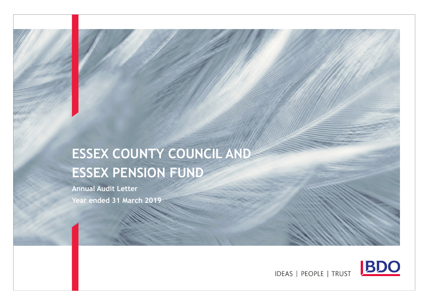# ESSEX COUNTY COUNCIL AND ESSEX PENSION FUND

Annual Audit LetterYear ended 31 March 2019

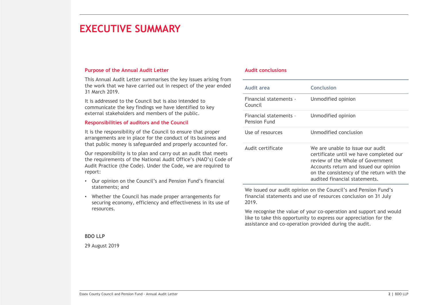### EXECUTIVE SUMMARY

#### Purpose of the Annual Audit Letter

This Annual Audit Letter summarises the key issues arising from the work that we have carried out in respect of the year ended 31 March 2019.

It is addressed to the Council but is also intended to communicate the key findings we have identified to key external stakeholders and members of the public.

### Responsibilities of auditors and the Council

It is the responsibility of the Council to ensure that proper arrangements are in place for the conduct of its business and that public money is safeguarded and properly accounted for.

Our responsibility is to plan and carry out an audit that meets the requirements of the National Audit Office's (NAO's) Code of Audit Practice (the Code). Under the Code, we are required to report:

- Our opinion on the Council's and Pension Fund's financial statements; and
- Whether the Council has made proper arrangements for securing economy, efficiency and effectiveness in its use of resources.

#### Audit conclusions

| Audit area                             | Conclusion                                                                                                                                                                                                                               |
|----------------------------------------|------------------------------------------------------------------------------------------------------------------------------------------------------------------------------------------------------------------------------------------|
| Financial statements -<br>Council      | Unmodified opinion                                                                                                                                                                                                                       |
| Financial statements -<br>Pension Fund | Unmodified opinion                                                                                                                                                                                                                       |
| Use of resources                       | Unmodified conclusion                                                                                                                                                                                                                    |
| Audit certificate                      | We are unable to issue our audit<br>certificate until we have completed our<br>review of the Whole of Government<br>Accounts return and issued our opinion<br>on the consistency of the return with the<br>audited financial statements. |

We issued our audit opinion on the Council's and Pension Fund's financial statements and use of resources conclusion on 31 July 2019.

We recognise the value of your co-operation and support and would like to take this opportunity to express our appreciation for the assistance and co-operation provided during the audit.

BDO LLP

29 August 2019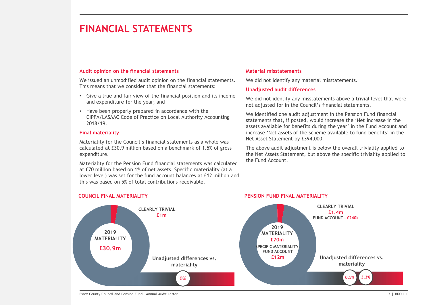### Audit opinion on the financial statements

We issued an unmodified audit opinion on the financial statements. This means that we consider that the financial statements:

- Give a true and fair view of the financial position and its income and expenditure for the year; and
- Have been properly prepared in accordance with the CIPFA/LASAAC Code of Practice on Local Authority Accounting 2018/19.

#### Final materiality

Materiality for the Council's financial statements as a whole was calculated at £30.9 million based on a benchmark of 1.5% of gross expenditure.

Materiality for the Pension Fund financial statements was calculated at £70 million based on 1% of net assets. Specific materiality (at a lower level) was set for the fund account balances at £12 million and this was based on 5% of total contributions receivable.

#### Material misstatements

We did not identify any material misstatements.

#### Unadjusted audit differences

PENSION FUND FINAL MATERIALITY

We did not identify any misstatements above a trivial level that were not adjusted for in the Council's financial statements.

We identified one audit adjustment in the Pension Fund financial statements that, if posted, would increase the 'Net increase in the assets available for benefits during the year' in the Fund Account and increase 'Net assets of the scheme available to fund benefits' in the Net Asset Statement by £394,000.

The above audit adjustment is below the overall triviality applied to the Net Assets Statement, but above the specific triviality applied to the Fund Account.



### COUNCIL FINAL MATERIALITY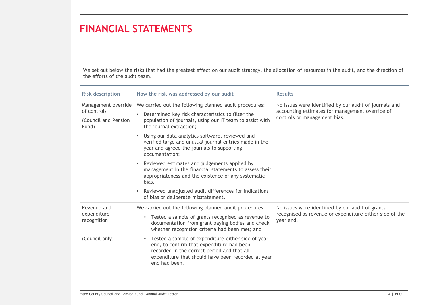We set out below the risks that had the greatest effect on our audit strategy, the allocation of resources in the audit, and the direction of the efforts of the audit team.

| <b>Risk description</b>                      | How the risk was addressed by our audit                                                                                                                                                                                              | <b>Results</b>                                                                                                                            |  |
|----------------------------------------------|--------------------------------------------------------------------------------------------------------------------------------------------------------------------------------------------------------------------------------------|-------------------------------------------------------------------------------------------------------------------------------------------|--|
| of controls<br>(Council and Pension<br>Fund) | Management override  We carried out the following planned audit procedures:<br>Determined key risk characteristics to filter the<br>$\bullet$<br>population of journals, using our IT team to assist with<br>the journal extraction; | No issues were identified by our audit of journals and<br>accounting estimates for management override of<br>controls or management bias. |  |
|                                              | Using our data analytics software, reviewed and<br>$\bullet$<br>verified large and unusual journal entries made in the<br>year and agreed the journals to supporting<br>documentation;                                               |                                                                                                                                           |  |
|                                              | Reviewed estimates and judgements applied by<br>$\bullet$<br>management in the financial statements to assess their<br>appropriateness and the existence of any systematic<br>bias.                                                  |                                                                                                                                           |  |
|                                              | Reviewed unadjusted audit differences for indications<br>$\bullet$<br>of bias or deliberate misstatement.                                                                                                                            |                                                                                                                                           |  |
| Revenue and                                  | We carried out the following planned audit procedures:                                                                                                                                                                               | No issues were identified by our audit of grants                                                                                          |  |
| expenditure<br>recognition                   | Tested a sample of grants recognised as revenue to<br>$\bullet$<br>documentation from grant paying bodies and check<br>whether recognition criteria had been met; and                                                                | recognised as revenue or expenditure either side of the<br>year end.                                                                      |  |
| (Council only)                               | Tested a sample of expenditure either side of year<br>$\bullet$<br>end, to confirm that expenditure had been<br>recorded in the correct period and that all<br>expenditure that should have been recorded at year<br>end had been.   |                                                                                                                                           |  |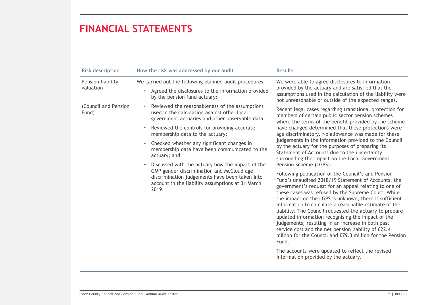| <b>Risk description</b>        | How the risk was addressed by our audit                                                                                                                                                                                                                                                                                                                                                                                                                                                                                                                                                                   | <b>Results</b>                                                                                                                                                                                                                                                                                                                                                                                                                                                                                                                                                                                                                                                                                                                                                                                                                                                                                                                                                                                                                                                                                                                                                                                                                                                             |
|--------------------------------|-----------------------------------------------------------------------------------------------------------------------------------------------------------------------------------------------------------------------------------------------------------------------------------------------------------------------------------------------------------------------------------------------------------------------------------------------------------------------------------------------------------------------------------------------------------------------------------------------------------|----------------------------------------------------------------------------------------------------------------------------------------------------------------------------------------------------------------------------------------------------------------------------------------------------------------------------------------------------------------------------------------------------------------------------------------------------------------------------------------------------------------------------------------------------------------------------------------------------------------------------------------------------------------------------------------------------------------------------------------------------------------------------------------------------------------------------------------------------------------------------------------------------------------------------------------------------------------------------------------------------------------------------------------------------------------------------------------------------------------------------------------------------------------------------------------------------------------------------------------------------------------------------|
| Pension liability<br>valuation | We carried out the following planned audit procedures:<br>Agreed the disclosures to the information provided<br>$\bullet$<br>by the pension fund actuary;                                                                                                                                                                                                                                                                                                                                                                                                                                                 | We were able to agree disclosures to information<br>provided by the actuary and are satisfied that the<br>assumptions used in the calculation of the liability were<br>not unreasonable or outside of the expected ranges.                                                                                                                                                                                                                                                                                                                                                                                                                                                                                                                                                                                                                                                                                                                                                                                                                                                                                                                                                                                                                                                 |
| (Council and Pension<br>Fund)  | Reviewed the reasonableness of the assumptions<br>$\bullet$<br>used in the calculation against other local<br>government actuaries and other observable data;<br>Reviewed the controls for providing accurate<br>$\bullet$<br>membership data to the actuary;<br>Checked whether any significant changes in<br>$\bullet$<br>membership data have been communicated to the<br>actuary; and<br>Discussed with the actuary how the impact of the<br>GMP gender discrimination and McCloud age<br>discrimination judgements have been taken into<br>account in the liability assumptions at 31 March<br>2019. | Recent legal cases regarding transitional protection for<br>members of certain public sector pension schemes<br>where the terms of the benefit provided by the scheme<br>have changed determined that these protections were<br>age discriminatory. No allowance was made for these<br>judgements in the information provided to the Council<br>by the actuary for the purposes of preparing its<br>Statement of Accounts due to the uncertainty<br>surrounding the impact on the Local Government<br>Pension Scheme (LGPS).<br>Following publication of the Council's and Pension<br>Fund's unaudited 2018/19 Statement of Accounts, the<br>government's request for an appeal relating to one of<br>these cases was refused by the Supreme Court. While<br>the impact on the LGPS is unknown, there is sufficient<br>information to calculate a reasonable estimate of the<br>liability. The Council requested the actuary to prepare<br>updated information recognising the impact of the<br>judgements, resulting in an increase in both past<br>service cost and the net pension liability of £22.4<br>million for the Council and £79.3 million for the Pension<br>Fund.<br>The accounts were updated to reflect the revised<br>information provided by the actuary. |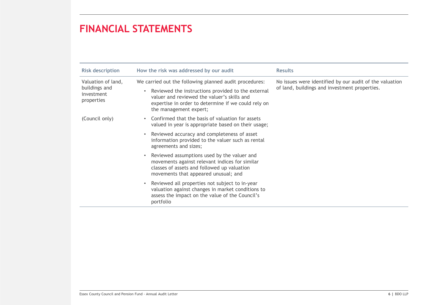| <b>Risk description</b>                                         | How the risk was addressed by our audit                                                                                                                                                                                                      | <b>Results</b>                                                                                           |
|-----------------------------------------------------------------|----------------------------------------------------------------------------------------------------------------------------------------------------------------------------------------------------------------------------------------------|----------------------------------------------------------------------------------------------------------|
| Valuation of land,<br>buildings and<br>investment<br>properties | We carried out the following planned audit procedures:<br>Reviewed the instructions provided to the external<br>valuer and reviewed the valuer's skills and<br>expertise in order to determine if we could rely on<br>the management expert; | No issues were identified by our audit of the valuation<br>of land, buildings and investment properties. |
| (Council only)                                                  | Confirmed that the basis of valuation for assets<br>valued in year is appropriate based on their usage;                                                                                                                                      |                                                                                                          |
|                                                                 | Reviewed accuracy and completeness of asset<br>information provided to the valuer such as rental<br>agreements and sizes;                                                                                                                    |                                                                                                          |
|                                                                 | Reviewed assumptions used by the valuer and<br>movements against relevant indices for similar<br>classes of assets and followed up valuation<br>movements that appeared unusual; and                                                         |                                                                                                          |
|                                                                 | Reviewed all properties not subject to in-year<br>valuation against changes in market conditions to<br>assess the impact on the value of the Council's<br>portfolio                                                                          |                                                                                                          |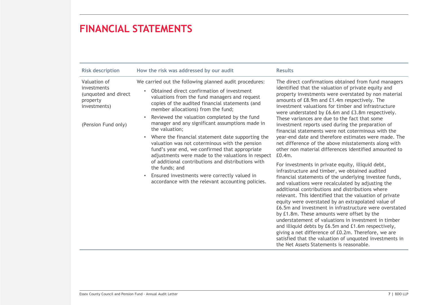| <b>Risk description</b>                                                                                | How the risk was addressed by our audit                                                                                                                                                                                                                                                                                                                                                                                                                                                                                                                                                                                                                                                                                                                                      | <b>Results</b>                                                                                                                                                                                                                                                                                                                                                                                                                                                                                                                                                                                                                                                                                                                                                                                                                                                                                                                                                                                                                                                                                                                                                                                                                                                                                                                                                                                                                                                    |
|--------------------------------------------------------------------------------------------------------|------------------------------------------------------------------------------------------------------------------------------------------------------------------------------------------------------------------------------------------------------------------------------------------------------------------------------------------------------------------------------------------------------------------------------------------------------------------------------------------------------------------------------------------------------------------------------------------------------------------------------------------------------------------------------------------------------------------------------------------------------------------------------|-------------------------------------------------------------------------------------------------------------------------------------------------------------------------------------------------------------------------------------------------------------------------------------------------------------------------------------------------------------------------------------------------------------------------------------------------------------------------------------------------------------------------------------------------------------------------------------------------------------------------------------------------------------------------------------------------------------------------------------------------------------------------------------------------------------------------------------------------------------------------------------------------------------------------------------------------------------------------------------------------------------------------------------------------------------------------------------------------------------------------------------------------------------------------------------------------------------------------------------------------------------------------------------------------------------------------------------------------------------------------------------------------------------------------------------------------------------------|
| Valuation of<br>investments<br>(unquoted and direct<br>property<br>investments)<br>(Pension Fund only) | We carried out the following planned audit procedures:<br>Obtained direct confirmation of investment<br>valuations from the fund managers and request<br>copies of the audited financial statements (and<br>member allocations) from the fund;<br>Reviewed the valuation completed by the fund<br>manager and any significant assumptions made in<br>the valuation;<br>Where the financial statement date supporting the<br>$\bullet$<br>valuation was not coterminous with the pension<br>fund's year end, we confirmed that appropriate<br>adjustments were made to the valuations in respect<br>of additional contributions and distributions with<br>the funds; and<br>Ensured investments were correctly valued in<br>accordance with the relevant accounting policies. | The direct confirmations obtained from fund managers<br>identified that the valuation of private equity and<br>property investments were overstated by non material<br>amounts of £8.9m and £1.4m respectively. The<br>investment valuations for timber and infrastructure<br>were understated by £6.6m and £3.8m respectively.<br>These variances are due to the fact that some<br>investment reports used during the preparation of<br>financial statements were not coterminous with the<br>year-end date and therefore estimates were made. The<br>net difference of the above misstatements along with<br>other non material differences identified amounted to<br>$E0.4m$ .<br>For investments in private equity, illiquid debt,<br>infrastructure and timber, we obtained audited<br>financial statements of the underlying investee funds,<br>and valuations were recalculated by adjusting the<br>additional contributions and distributions where<br>relevant. This identified that the valuation of private<br>equity were overstated by an extrapolated value of<br>£6.5m and investment in infrastructure were overstated<br>by £1.8m. These amounts were offset by the<br>understatement of valuations in investment in timber<br>and illiquid debts by £6.5m and £1.6m respectively,<br>giving a net difference of £0.2m. Therefore, we are<br>satisfied that the valuation of unquoted investments in<br>the Net Assets Statements is reasonable. |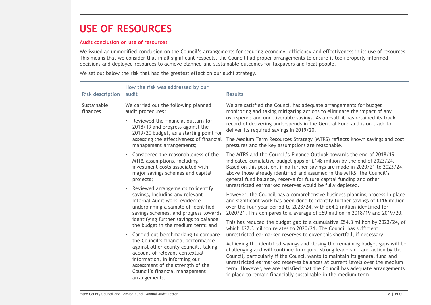### USE OF RESOURCES

#### Audit conclusion on use of resources

We issued an unmodified conclusion on the Council's arrangements for securing economy, efficiency and effectiveness in its use of resources. This means that we consider that in all significant respects, the Council had proper arrangements to ensure it took properly informed decisions and deployed resources to achieve planned and sustainable outcomes for taxpayers and local people.

We set out below the risk that had the greatest effect on our audit strategy.

| <b>Risk description</b>                                                                                                                                                                                                                                                                                                                                                                                                                                                                                                                                              | How the risk was addressed by our<br>audit                                                                                                                                                                                                                                                                                                                                                                                                                                  | <b>Results</b>                                                                                                                                                                                                                                                                                                                                                                                                                               |
|----------------------------------------------------------------------------------------------------------------------------------------------------------------------------------------------------------------------------------------------------------------------------------------------------------------------------------------------------------------------------------------------------------------------------------------------------------------------------------------------------------------------------------------------------------------------|-----------------------------------------------------------------------------------------------------------------------------------------------------------------------------------------------------------------------------------------------------------------------------------------------------------------------------------------------------------------------------------------------------------------------------------------------------------------------------|----------------------------------------------------------------------------------------------------------------------------------------------------------------------------------------------------------------------------------------------------------------------------------------------------------------------------------------------------------------------------------------------------------------------------------------------|
| Sustainable<br>finances                                                                                                                                                                                                                                                                                                                                                                                                                                                                                                                                              | We carried out the following planned<br>audit procedures:                                                                                                                                                                                                                                                                                                                                                                                                                   | We are satisfied the Council has adequate arrangements for budget<br>monitoring and taking mitigating actions to eliminate the impact of any                                                                                                                                                                                                                                                                                                 |
|                                                                                                                                                                                                                                                                                                                                                                                                                                                                                                                                                                      | Reviewed the financial outturn for<br>$\bullet$<br>2018/19 and progress against the<br>2019/20 budget, as a starting point for                                                                                                                                                                                                                                                                                                                                              | overspends and undeliverable savings. As a result it has retained its track<br>record of delivering underspends in the General Fund and is on track to<br>deliver its required savings in 2019/20.                                                                                                                                                                                                                                           |
|                                                                                                                                                                                                                                                                                                                                                                                                                                                                                                                                                                      | assessing the effectiveness of financial<br>management arrangements;                                                                                                                                                                                                                                                                                                                                                                                                        | The Medium Term Resources Strategy (MTRS) reflects known savings and cost<br>pressures and the key assumptions are reasonable.                                                                                                                                                                                                                                                                                                               |
|                                                                                                                                                                                                                                                                                                                                                                                                                                                                                                                                                                      | Considered the reasonableness of the<br>MTRS assumptions, including<br>investment costs associated with<br>major savings schemes and capital<br>projects;                                                                                                                                                                                                                                                                                                                   | The MTRS and the Council's Finance Outlook towards the end of 2018/19<br>indicated cumulative budget gaps of £148 million by the end of 2023/24.<br>Based on this position, if no further savings are made in 2020/21 to 2023/24,<br>above those already identified and assumed in the MTRS, the Council's<br>general fund balance, reserve for future capital funding and other<br>unrestricted earmarked reserves would be fully depleted. |
| Reviewed arrangements to identify<br>savings, including any relevant<br>Internal Audit work, evidence<br>underpinning a sample of identified<br>savings schemes, and progress towards<br>identifying further savings to balance<br>the budget in the medium term; and<br>Carried out benchmarking to compare<br>$\bullet$<br>the Council's financial performance<br>against other county councils, taking<br>account of relevant contextual<br>information, in informing our<br>assessment of the strength of the<br>Council's financial management<br>arrangements. |                                                                                                                                                                                                                                                                                                                                                                                                                                                                             | However, the Council has a comprehensive business planning process in place<br>and significant work has been done to identify further savings of £116 million<br>over the four year period to 2023/24, with £64.2 million identified for<br>2020/21. This compares to a average of £59 million in 2018/19 and 2019/20.                                                                                                                       |
|                                                                                                                                                                                                                                                                                                                                                                                                                                                                                                                                                                      |                                                                                                                                                                                                                                                                                                                                                                                                                                                                             | This has reduced the budget gap to a cumulative £54.3 million by 2023/24, of<br>which £27.3 million relates to 2020/21. The Council has sufficient<br>unrestricted earmarked reserves to cover this shortfall, if necessary.                                                                                                                                                                                                                 |
|                                                                                                                                                                                                                                                                                                                                                                                                                                                                                                                                                                      | Achieving the identified savings and closing the remaining budget gaps will be<br>challenging and will continue to require strong leadership and action by the<br>Council, particularly if the Council wants to maintain its general fund and<br>unrestricted earmarked reserves balances at current levels over the medium<br>term. However, we are satisfied that the Council has adequate arrangements<br>in place to remain financially sustainable in the medium term. |                                                                                                                                                                                                                                                                                                                                                                                                                                              |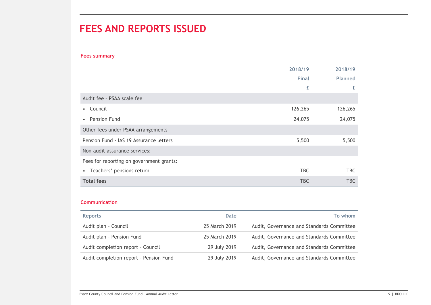## FEES AND REPORTS ISSUED

### Fees summary

|                                          | 2018/19      | 2018/19        |
|------------------------------------------|--------------|----------------|
|                                          | <b>Final</b> | <b>Planned</b> |
|                                          | £            | £              |
| Audit fee - PSAA scale fee               |              |                |
| Council<br>$\bullet$                     | 126,265      | 126,265        |
| • Pension Fund                           | 24,075       | 24,075         |
| Other fees under PSAA arrangements       |              |                |
| Pension Fund - IAS 19 Assurance letters  | 5,500        | 5,500          |
| Non-audit assurance services:            |              |                |
| Fees for reporting on government grants: |              |                |
| • Teachers' pensions return              | <b>TBC</b>   | TBC            |
| <b>Total fees</b>                        | <b>TBC</b>   | <b>TBC</b>     |

### Communication

| <b>Reports</b>                         | Date          | To whom                                   |
|----------------------------------------|---------------|-------------------------------------------|
| Audit plan - Council                   | 25 March 2019 | Audit, Governance and Standards Committee |
| Audit plan - Pension Fund              | 25 March 2019 | Audit, Governance and Standards Committee |
| Audit completion report - Council      | 29 July 2019  | Audit, Governance and Standards Committee |
| Audit completion report - Pension Fund | 29 July 2019  | Audit, Governance and Standards Committee |